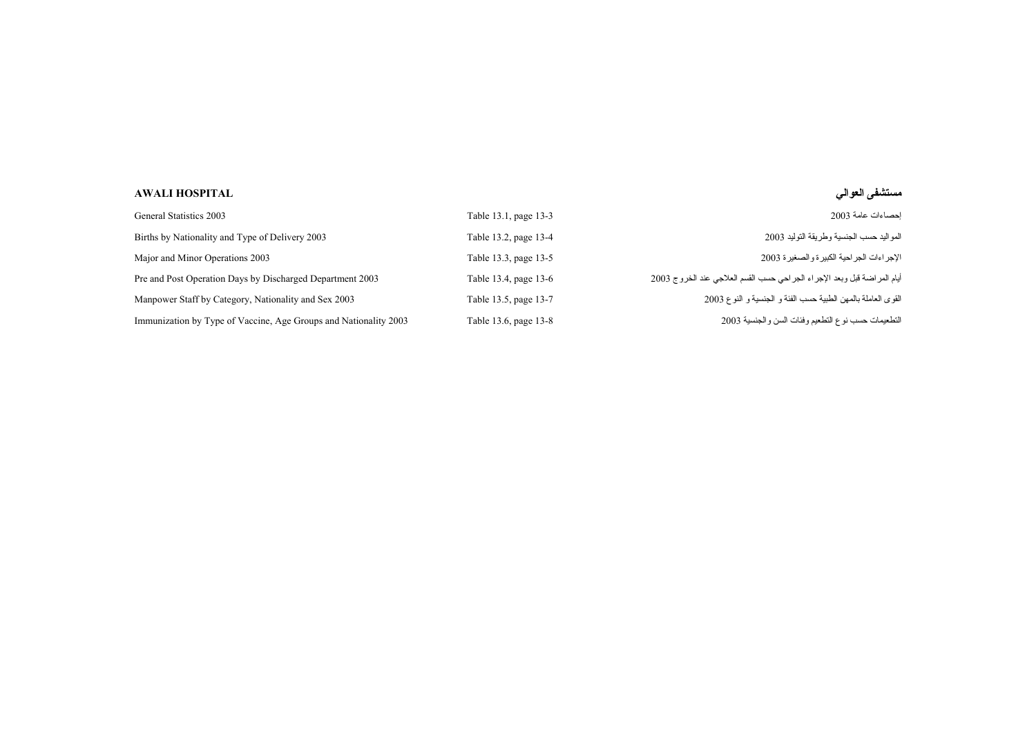## **مستشفى العوالي HOSPITAL AWALI**

| General Statistics 2003                                          | Table 13.1, page 13-3 | احصناءات عامة 2003                                                           |
|------------------------------------------------------------------|-----------------------|------------------------------------------------------------------------------|
| Births by Nationality and Type of Delivery 2003                  | Table 13.2, page 13-4 | المواليد حسب الجنسية وطريقة التوليد 2003                                     |
| Major and Minor Operations 2003                                  | Table 13.3, page 13-5 | الإجر اءات الجر احية الكبير ة والصغير ة 2003                                 |
| Pre and Post Operation Days by Discharged Department 2003        | Table 13.4, page 13-6 | أيام المر اضـة قبل وبعد الإجراء الـجر احي حسب القسم العلاجي عند الـخروج 2003 |
| Manpower Staff by Category, Nationality and Sex 2003             | Table 13.5, page 13-7 | القوى العاملة بالمهن الطبية حسب الفئة و الجنسية و النوع 2003                 |
| Immunization by Type of Vaccine, Age Groups and Nationality 2003 | Table 13.6, page 13-8 | التطعيمات حسب نوع التطعيم وفئات السن والجنسية 2003                           |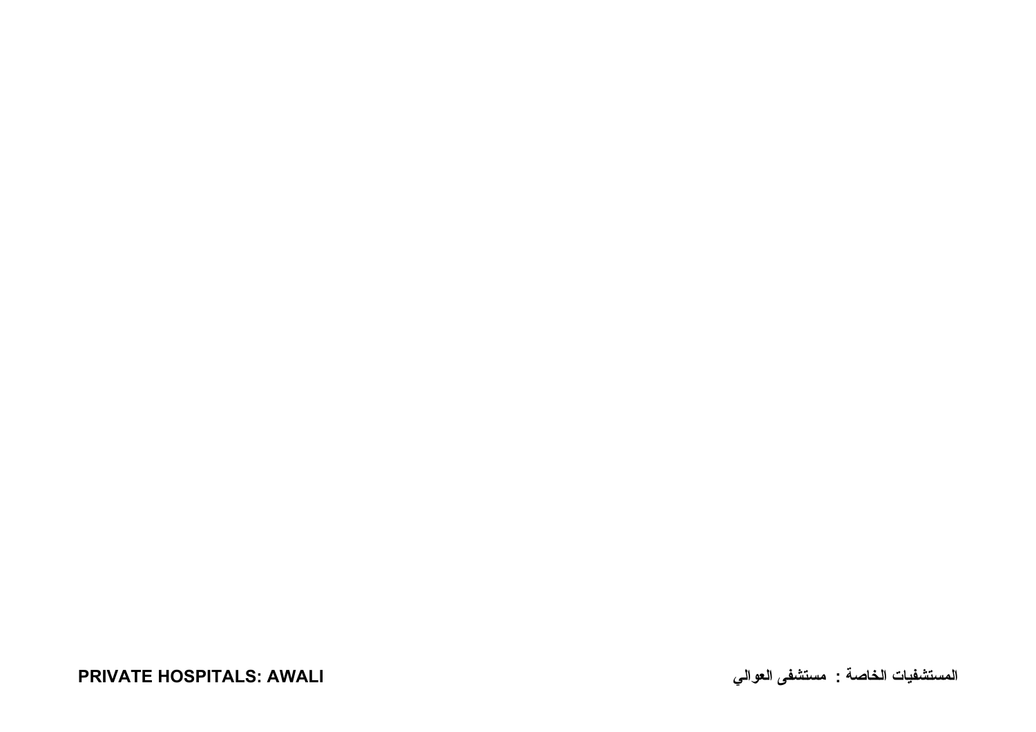**المستشفيات الخاصة : مستشفى العوالي AWALI :HOSPITALS PRIVATE**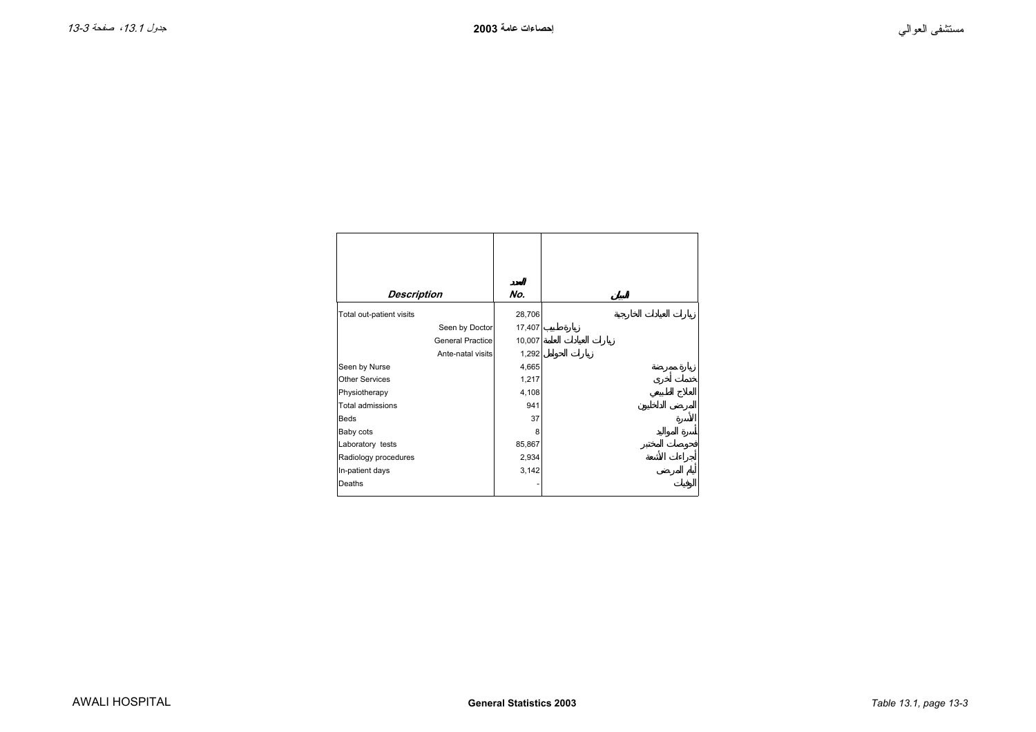<span id="page-2-0"></span>

| <b>Description</b>       | No.    |
|--------------------------|--------|
| Total out-patient visits | 28,706 |
| Seen by Doctor           | 17,407 |
| <b>General Practice</b>  | 10,007 |
| Ante-natal visits        | 1,292  |
| Seen by Nurse            | 4,665  |
| <b>Other Services</b>    | 1,217  |
| Physiotherapy            | 4,108  |
| Total admissions         | 941    |
| <b>Beds</b>              | 37     |
| Baby cots                | 8      |
| Laboratory tests         | 85,867 |
| Radiology procedures     | 2,934  |
| In-patient days          | 3,142  |
| Deaths                   |        |
|                          |        |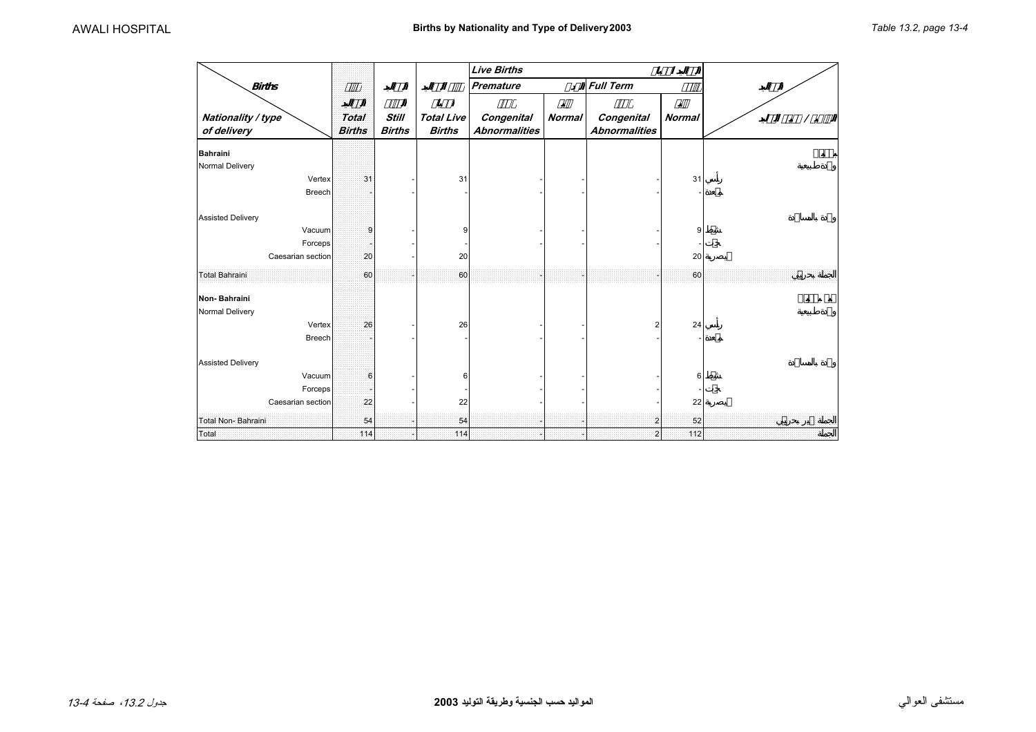<span id="page-3-0"></span>

|                                   |                               |                               |                                    | <b>Live Births</b>                 |               |                                    |               |  |
|-----------------------------------|-------------------------------|-------------------------------|------------------------------------|------------------------------------|---------------|------------------------------------|---------------|--|
| <b>Births</b>                     |                               |                               |                                    | <b>Premature</b>                   |               | <b>Full Term</b>                   | $\varnothing$ |  |
| Nationality / type<br>of delivery | <b>Total</b><br><b>Births</b> | <b>Still</b><br><b>Births</b> | <b>Total Live</b><br><b>Births</b> | Congenital<br><b>Abnormalities</b> | <b>Normal</b> | Congenital<br><b>Abnormalities</b> | <b>Normal</b> |  |
| <b>Bahraini</b>                   |                               |                               |                                    |                                    |               |                                    |               |  |
| Normal Delivery                   |                               |                               |                                    |                                    |               |                                    |               |  |
| Vertex<br>Breech                  | 31                            |                               | 31                                 |                                    |               |                                    | 31            |  |
| <b>Assisted Delivery</b>          |                               |                               |                                    |                                    |               |                                    |               |  |
| Vacuum                            | 9                             |                               |                                    |                                    |               |                                    | 9             |  |
| Forceps                           |                               |                               |                                    |                                    |               |                                    |               |  |
| Caesarian section                 | 20                            |                               | 20                                 |                                    |               |                                    | 20            |  |
| <b>Total Bahraini</b>             | 60                            |                               | 60                                 |                                    |               |                                    | 60            |  |
| Non-Bahraini                      |                               |                               |                                    |                                    |               |                                    |               |  |
| Normal Delivery                   |                               |                               |                                    |                                    |               |                                    |               |  |
| Vertex                            | 26                            |                               | 26                                 |                                    |               | $\overline{2}$                     | 24            |  |
| Breech                            |                               |                               |                                    |                                    |               |                                    |               |  |
| <b>Assisted Delivery</b>          |                               |                               |                                    |                                    |               |                                    |               |  |
| Vacuum                            | 6                             |                               |                                    |                                    |               |                                    | 6             |  |
| Forceps                           |                               |                               |                                    |                                    |               |                                    |               |  |
| Caesarian section                 | 22                            |                               | 22                                 |                                    |               |                                    | 22            |  |
| Total Non-Bahraini                | 54                            |                               | 54                                 |                                    |               | $\overline{\mathbf{2}}$            | 52            |  |
| Total                             | 114                           |                               | 114                                |                                    |               | $\overline{\mathbf{2}}$            | 112           |  |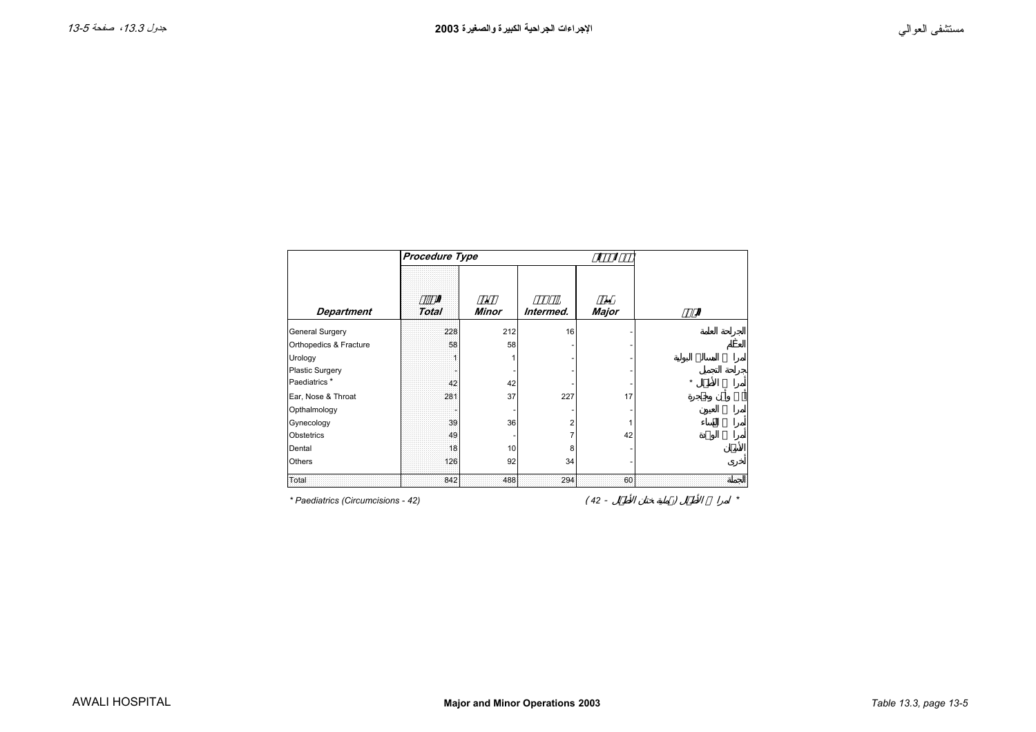<span id="page-4-0"></span>

|                                    | Procedure Type |              |           |       |         |
|------------------------------------|----------------|--------------|-----------|-------|---------|
| <b>Department</b>                  | <b>Total</b>   | <b>Minor</b> | Intermed. | Major |         |
|                                    |                |              |           |       |         |
| <b>General Surgery</b>             | 228            | 212          | 16        |       |         |
| Orthopedics & Fracture             | 58             | 58           |           |       |         |
| Urology                            |                | 1            |           |       |         |
| <b>Plastic Surgery</b>             |                |              |           |       |         |
| Paediatrics*                       | 42             | 42           |           |       | $\star$ |
| Ear, Nose & Throat                 | 281            | 37           | 227       | 17    |         |
| Opthalmology                       |                |              |           |       |         |
| Gynecology                         | 39             | 36           | 2         |       |         |
| Obstetrics                         | 49             |              | 7         | 42    |         |
| Dental                             | 18             | 10           | 8         |       |         |
| Others                             | 126            | 92           | 34        |       |         |
| Total                              | 842            | 488          | 294       | 60    |         |
| * Paediatrics (Circumcisions - 42) |                |              |           | 42 -  | *       |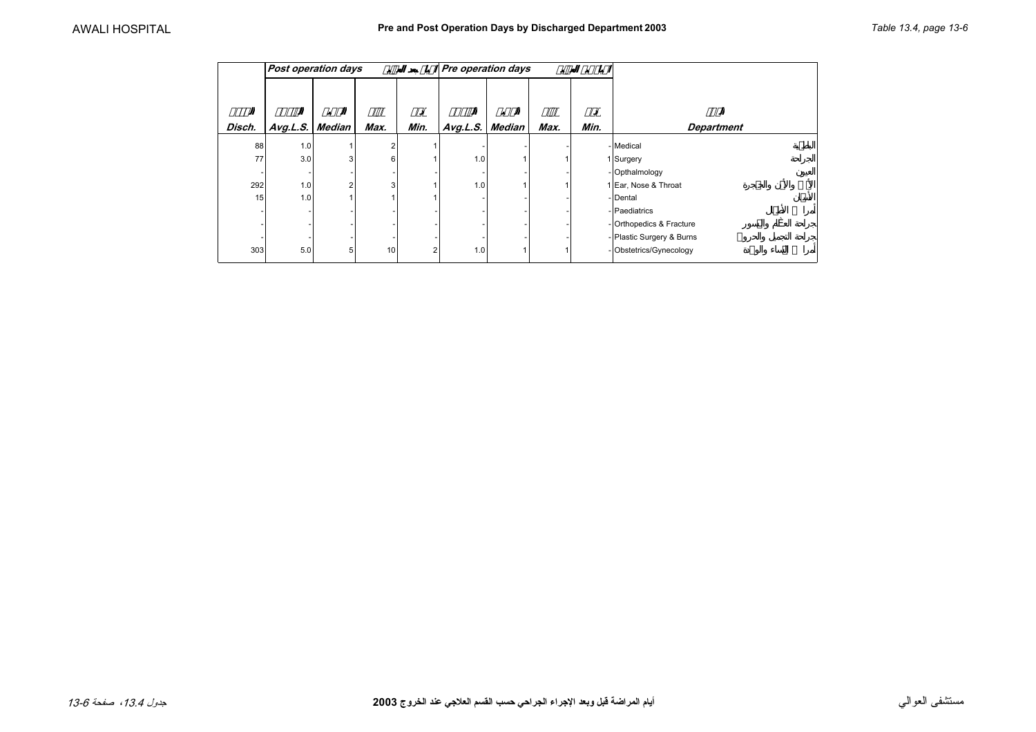<span id="page-5-0"></span>

|        | <b>Post operation days</b> |        |                         |      | Pre operation days |        |      | ø    |                           |
|--------|----------------------------|--------|-------------------------|------|--------------------|--------|------|------|---------------------------|
| Disch. | Avg.L.S.                   | Median | Max.                    | Min. | Avg.L.S.           | Median | Max. | Min. | <b>Department</b>         |
| 88     | 1.0                        |        | $\overline{\mathbf{c}}$ |      |                    |        |      |      | - Medical                 |
| 77     | 3.0                        | 3      | 6                       |      | 1.0                |        |      |      | 1 Surgery                 |
|        |                            |        |                         |      |                    |        |      |      | - Opthalmology            |
| 292    | 1.0                        | 2      | 3                       |      | 1.0                |        |      |      | 1 Ear, Nose & Throat      |
| 15     | 1.0                        |        |                         |      |                    |        |      |      | - Dental                  |
|        |                            |        |                         |      |                    |        |      |      | - Paediatrics             |
|        |                            |        |                         |      |                    |        |      |      | -Orthopedics & Fracture   |
|        |                            |        |                         |      |                    |        |      |      | - Plastic Surgery & Burns |
| 303    | 5.0                        | 5      | 10                      | 2    | 1.0                |        |      |      | - Obstetrics/Gynecology   |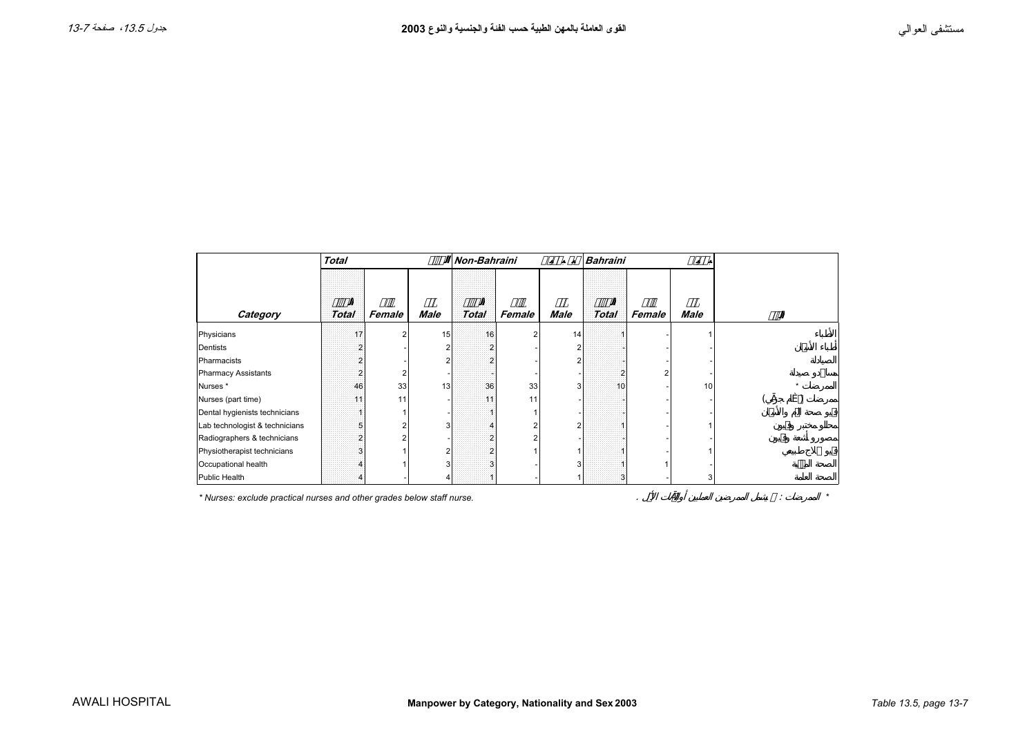<span id="page-6-0"></span>

|                                | <b>Total</b> |                |             | Non-Bahraini |        |      | <b>Bahraini</b> |        |             |  |
|--------------------------------|--------------|----------------|-------------|--------------|--------|------|-----------------|--------|-------------|--|
| Category                       | <b>Total</b> | Female         | <b>Male</b> | <b>Total</b> | Female | Male | <b>Total</b>    | Female | <b>Male</b> |  |
| Physicians                     | 17           | $\overline{2}$ | 15          | 16           |        | 14   |                 |        |             |  |
| Dentists                       |              |                |             |              |        |      |                 |        |             |  |
| Pharmacists                    |              |                |             |              |        |      |                 |        |             |  |
| <b>Pharmacy Assistants</b>     |              | 2              |             |              |        |      |                 |        |             |  |
| Nurses <sup>*</sup>            | 46           | 33             | 13          | 36           | 33     | 3    | 10              |        | 10          |  |
| Nurses (part time)             | 11           | 11             |             | 11           | 11     |      |                 |        |             |  |
| Dental hygienists technicians  |              |                |             |              |        |      |                 |        |             |  |
| Lab technologist & technicians |              | 2              | З           |              |        |      |                 |        |             |  |
| Radiographers & technicians    |              |                |             |              |        |      |                 |        |             |  |
| Physiotherapist technicians    |              |                |             |              |        |      |                 |        |             |  |
| Occupational health            |              |                |             |              |        |      |                 |        |             |  |
| Public Health                  |              |                |             |              |        |      | 3               |        |             |  |

*\* Nurses: exclude practical nurses and other grades below staff nurse.* . : *\**